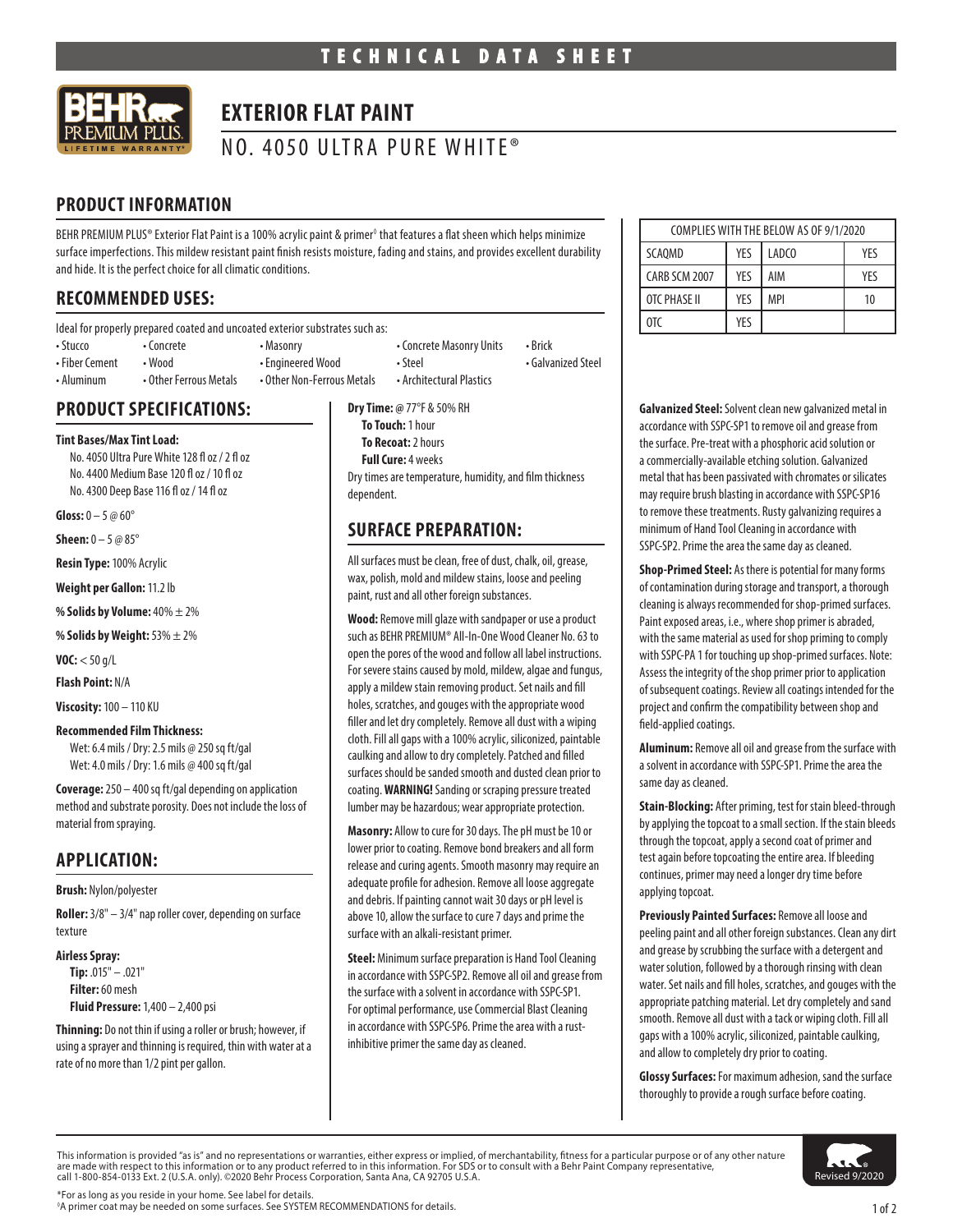

# **EXTERIOR FLAT PAINT**

NO. 4050 ULTRA PURE WHITE®

## **PRODUCT INFORMATION**

BEHR PREMIUM PLUS® Exterior Flat Paint is a 100% acrylic paint & primerº that features a flat sheen which helps minimize surface imperfections. This mildew resistant paint finish resists moisture, fading and stains, and provides excellent durability and hide. It is the perfect choice for all climatic conditions.

### **RECOMMENDED USES:**

Ideal for properly prepared coated and uncoated exterior substrates such as:

- Stucco Concrete Masonry Concrete Masonry Units Brick
- Fiber Cement Wood • Fnaineered Wood • Steel Galvanized Steel
- 
- Aluminum Other Ferrous Metals Other Non-Ferrous Metals Architectural Plastics
- **PRODUCT SPECIFICATIONS:**

#### **Tint Bases/Max Tint Load:**

No. 4050 Ultra Pure White 128 fl oz / 2 fl oz No. 4400 Medium Base 120 fl oz / 10 fl oz No. 4300 Deep Base 116 fl oz / 14 fl oz

**Gloss:**  $0 - 5 \oslash 60^{\circ}$ 

**Sheen:** 0 – 5 @ 85°

**Resin Type:** 100% Acrylic

**Weight per Gallon:** 11.2 lb

**% Solids by Volume:** 40% ± 2%

**% Solids by Weight:** 53% ± 2%

**VOC:** < 50 g/L

**Flash Point:** N/A

**Viscosity:** 100 – 110 KU

#### **Recommended Film Thickness:**

Wet: 6.4 mils / Dry: 2.5 mils @ 250 sq ft/gal Wet: 4.0 mils / Dry: 1.6 mils @ 400 sq ft/gal

**Coverage:** 250 – 400 sq ft/gal depending on application method and substrate porosity. Does not include the loss of material from spraying.

### **APPLICATION:**

#### **Brush:** Nylon/polyester

**Roller:** 3/8" – 3/4" nap roller cover, depending on surface texture

#### **Airless Spray:**

**Tip:** .015" – .021" **Filter:** 60 mesh **Fluid Pressure:** 1,400 – 2,400 psi

**Thinning:** Do not thin if using a roller or brush; however, if using a sprayer and thinning is required, thin with water at a rate of no more than 1/2 pint per gallon.

- **Dry Time: @** 77°F & 50% RH **To Touch:** 1 hour
- **To Recoat:** 2 hours **Full Cure:** 4 weeks

Dry times are temperature, humidity, and film thickness dependent.

### **SURFACE PREPARATION:**

All surfaces must be clean, free of dust, chalk, oil, grease, wax, polish, mold and mildew stains, loose and peeling paint, rust and all other foreign substances.

**Wood:** Remove mill glaze with sandpaper or use a product such as BEHR PREMIUM® All-In-One Wood Cleaner No. 63 to open the pores of the wood and follow all label instructions. For severe stains caused by mold, mildew, algae and fungus, apply a mildew stain removing product. Set nails and fill holes, scratches, and gouges with the appropriate wood filler and let dry completely. Remove all dust with a wiping cloth. Fill all gaps with a 100% acrylic, siliconized, paintable caulking and allow to dry completely. Patched and filled surfaces should be sanded smooth and dusted clean prior to coating. **WARNING!** Sanding or scraping pressure treated lumber may be hazardous; wear appropriate protection.

**Masonry:** Allow to cure for 30 days. The pH must be 10 or lower prior to coating. Remove bond breakers and all form release and curing agents. Smooth masonry may require an adequate profile for adhesion. Remove all loose aggregate and debris. If painting cannot wait 30 days or pH level is above 10, allow the surface to cure 7 days and prime the surface with an alkali-resistant primer.

**Steel:** Minimum surface preparation is Hand Tool Cleaning in accordance with SSPC-SP2. Remove all oil and grease from the surface with a solvent in accordance with SSPC-SP1. For optimal performance, use Commercial Blast Cleaning in accordance with SSPC-SP6. Prime the area with a rustinhibitive primer the same day as cleaned.

| COMPLIES WITH THE BELOW AS OF 9/1/2020 |            |       |     |
|----------------------------------------|------------|-------|-----|
| SCAOMD                                 | <b>YFS</b> | LADCO | YFS |
| CARB SCM 2007                          | YFS        | AIM   | YFS |
| OTC PHASE II                           | YFS        | MPI   | 10  |
| ነፐር                                    | YFS        |       |     |

**Galvanized Steel:** Solvent clean new galvanized metal in accordance with SSPC-SP1 to remove oil and grease from the surface. Pre-treat with a phosphoric acid solution or a commercially-available etching solution. Galvanized metal that has been passivated with chromates or silicates may require brush blasting in accordance with SSPC-SP16 to remove these treatments. Rusty galvanizing requires a minimum of Hand Tool Cleaning in accordance with SSPC-SP2. Prime the area the same day as cleaned.

**Shop-Primed Steel:** As there is potential for many forms of contamination during storage and transport, a thorough cleaning is always recommended for shop-primed surfaces. Paint exposed areas, i.e., where shop primer is abraded, with the same material as used for shop priming to comply with SSPC-PA 1 for touching up shop-primed surfaces. Note: Assess the integrity of the shop primer prior to application of subsequent coatings. Review all coatings intended for the project and confirm the compatibility between shop and field-applied coatings.

**Aluminum:** Remove all oil and grease from the surface with a solvent in accordance with SSPC-SP1. Prime the area the same day as cleaned.

**Stain-Blocking:** After priming, test for stain bleed-through by applying the topcoat to a small section. If the stain bleeds through the topcoat, apply a second coat of primer and test again before topcoating the entire area. If bleeding continues, primer may need a longer dry time before applying topcoat.

**Previously Painted Surfaces:** Remove all loose and peeling paint and all other foreign substances. Clean any dirt and grease by scrubbing the surface with a detergent and water solution, followed by a thorough rinsing with clean water. Set nails and fill holes, scratches, and gouges with the appropriate patching material. Let dry completely and sand smooth. Remove all dust with a tack or wiping cloth. Fill all gaps with a 100% acrylic, siliconized, paintable caulking, and allow to completely dry prior to coating.

**Glossy Surfaces:** For maximum adhesion, sand the surface thoroughly to provide a rough surface before coating.

This information is provided "as is" and no representations or warranties, either express or implied, of merchantability, fitness for a particular purpose or of any other nature are made with respect to this information or to any product referred to in this information. For SDS or to consult with a Behr Paint Company representative,<br>call 1-800-854-0133 Ext. 2 (U.S.A. only). ©2020 Behr Process Cor



\*For as long as you reside in your home. See label for details.

◊ A primer coat may be needed on some surfaces. See SYSTEM RECOMMENDATIONS for details.